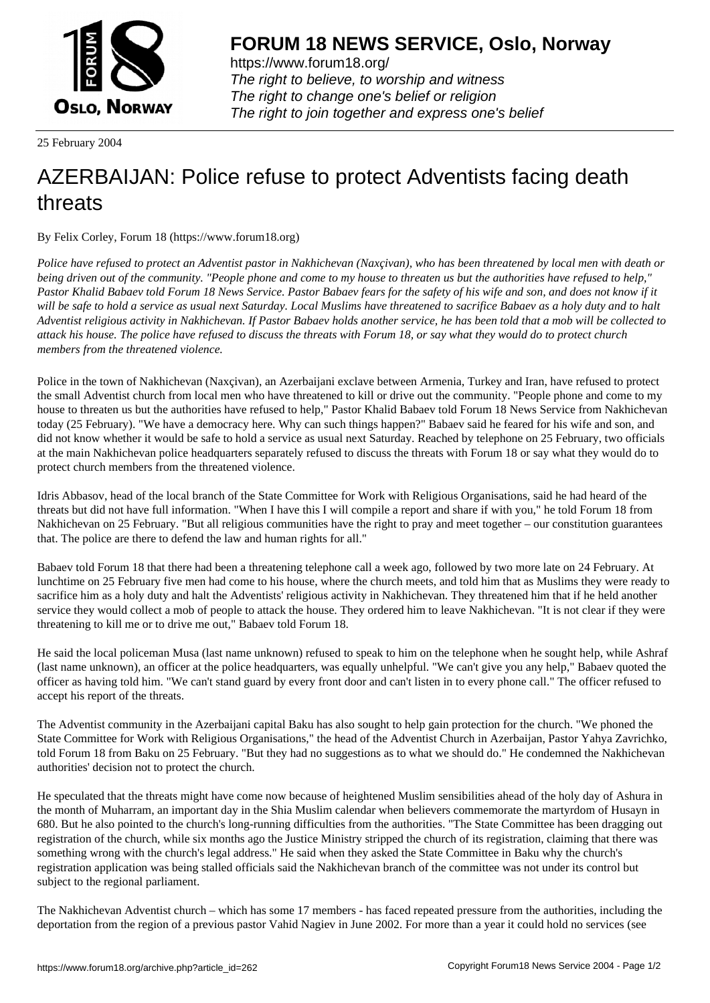

https://www.forum18.org/ The right to believe, to worship and witness The right to change one's belief or religion [The right to join together a](https://www.forum18.org/)nd express one's belief

25 February 2004

## [AZERBAIJAN: P](https://www.forum18.org)olice refuse to protect Adventists facing death threats

By Felix Corley, Forum 18 (https://www.forum18.org)

*Police have refused to protect an Adventist pastor in Nakhichevan (Naxçivan), who has been threatened by local men with death or being driven out of the community. "People phone and come to my house to threaten us but the authorities have refused to help," Pastor Khalid Babaev told Forum 18 News Service. Pastor Babaev fears for the safety of his wife and son, and does not know if it will be safe to hold a service as usual next Saturday. Local Muslims have threatened to sacrifice Babaev as a holy duty and to halt Adventist religious activity in Nakhichevan. If Pastor Babaev holds another service, he has been told that a mob will be collected to attack his house. The police have refused to discuss the threats with Forum 18, or say what they would do to protect church members from the threatened violence.*

Police in the town of Nakhichevan (Naxçivan), an Azerbaijani exclave between Armenia, Turkey and Iran, have refused to protect the small Adventist church from local men who have threatened to kill or drive out the community. "People phone and come to my house to threaten us but the authorities have refused to help," Pastor Khalid Babaev told Forum 18 News Service from Nakhichevan today (25 February). "We have a democracy here. Why can such things happen?" Babaev said he feared for his wife and son, and did not know whether it would be safe to hold a service as usual next Saturday. Reached by telephone on 25 February, two officials at the main Nakhichevan police headquarters separately refused to discuss the threats with Forum 18 or say what they would do to protect church members from the threatened violence.

Idris Abbasov, head of the local branch of the State Committee for Work with Religious Organisations, said he had heard of the threats but did not have full information. "When I have this I will compile a report and share if with you," he told Forum 18 from Nakhichevan on 25 February. "But all religious communities have the right to pray and meet together – our constitution guarantees that. The police are there to defend the law and human rights for all."

Babaev told Forum 18 that there had been a threatening telephone call a week ago, followed by two more late on 24 February. At lunchtime on 25 February five men had come to his house, where the church meets, and told him that as Muslims they were ready to sacrifice him as a holy duty and halt the Adventists' religious activity in Nakhichevan. They threatened him that if he held another service they would collect a mob of people to attack the house. They ordered him to leave Nakhichevan. "It is not clear if they were threatening to kill me or to drive me out," Babaev told Forum 18.

He said the local policeman Musa (last name unknown) refused to speak to him on the telephone when he sought help, while Ashraf (last name unknown), an officer at the police headquarters, was equally unhelpful. "We can't give you any help," Babaev quoted the officer as having told him. "We can't stand guard by every front door and can't listen in to every phone call." The officer refused to accept his report of the threats.

The Adventist community in the Azerbaijani capital Baku has also sought to help gain protection for the church. "We phoned the State Committee for Work with Religious Organisations," the head of the Adventist Church in Azerbaijan, Pastor Yahya Zavrichko, told Forum 18 from Baku on 25 February. "But they had no suggestions as to what we should do." He condemned the Nakhichevan authorities' decision not to protect the church.

He speculated that the threats might have come now because of heightened Muslim sensibilities ahead of the holy day of Ashura in the month of Muharram, an important day in the Shia Muslim calendar when believers commemorate the martyrdom of Husayn in 680. But he also pointed to the church's long-running difficulties from the authorities. "The State Committee has been dragging out registration of the church, while six months ago the Justice Ministry stripped the church of its registration, claiming that there was something wrong with the church's legal address." He said when they asked the State Committee in Baku why the church's registration application was being stalled officials said the Nakhichevan branch of the committee was not under its control but subject to the regional parliament.

The Nakhichevan Adventist church – which has some 17 members - has faced repeated pressure from the authorities, including the deportation from the region of a previous pastor Vahid Nagiev in June 2002. For more than a year it could hold no services (see